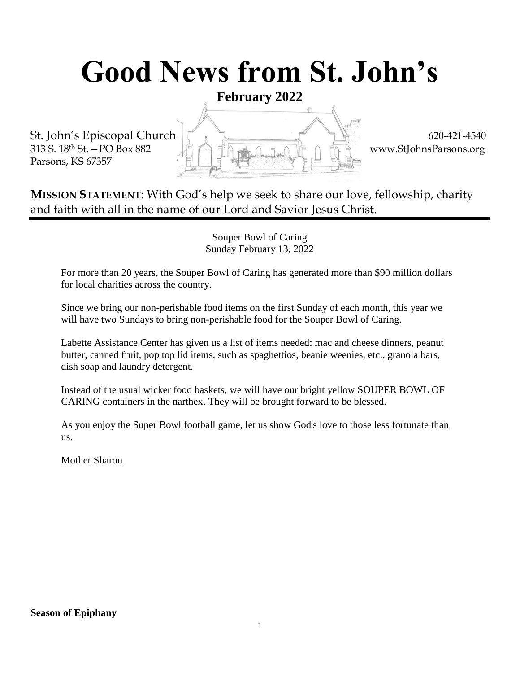# **Good News from St. John's**

**February 2022**

Parsons, KS 67357



**MISSION STATEMENT**: With God's help we seek to share our love, fellowship, charity and faith with all in the name of our Lord and Savior Jesus Christ.

> Souper Bowl of Caring Sunday February 13, 2022

For more than 20 years, the Souper Bowl of Caring has generated more than \$90 million dollars for local charities across the country.

Since we bring our non-perishable food items on the first Sunday of each month, this year we will have two Sundays to bring non-perishable food for the Souper Bowl of Caring.

Labette Assistance Center has given us a list of items needed: mac and cheese dinners, peanut butter, canned fruit, pop top lid items, such as spaghettios, beanie weenies, etc., granola bars, dish soap and laundry detergent.

Instead of the usual wicker food baskets, we will have our bright yellow SOUPER BOWL OF CARING containers in the narthex. They will be brought forward to be blessed.

As you enjoy the Super Bowl football game, let us show God's love to those less fortunate than us.

Mother Sharon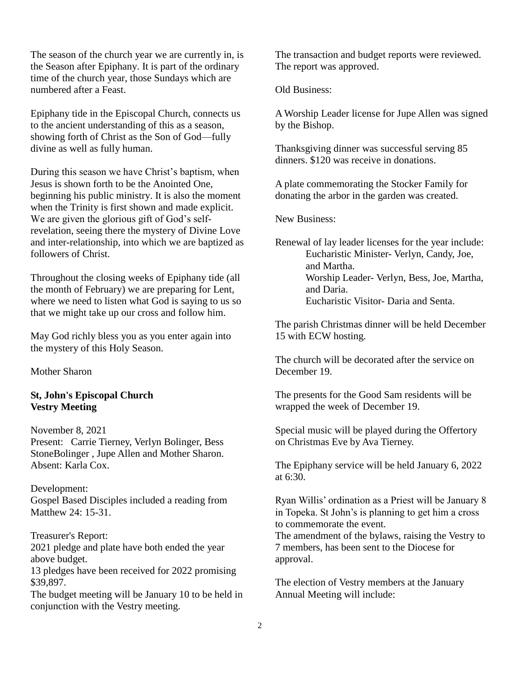The season of the church year we are currently in, is the Season after Epiphany. It is part of the ordinary time of the church year, those Sundays which are numbered after a Feast.

Epiphany tide in the Episcopal Church, connects us to the ancient understanding of this as a season, showing forth of Christ as the Son of God—fully divine as well as fully human.

During this season we have Christ's baptism, when Jesus is shown forth to be the Anointed One, beginning his public ministry. It is also the moment when the Trinity is first shown and made explicit. We are given the glorious gift of God's selfrevelation, seeing there the mystery of Divine Love and inter-relationship, into which we are baptized as followers of Christ.

Throughout the closing weeks of Epiphany tide (all the month of February) we are preparing for Lent, where we need to listen what God is saying to us so that we might take up our cross and follow him.

May God richly bless you as you enter again into the mystery of this Holy Season.

Mother Sharon

#### **St, John's Episcopal Church Vestry Meeting**

November 8, 2021 Present: Carrie Tierney, Verlyn Bolinger, Bess StoneBolinger , Jupe Allen and Mother Sharon. Absent: Karla Cox.

Development: Gospel Based Disciples included a reading from Matthew 24: 15-31.

Treasurer's Report: 2021 pledge and plate have both ended the year above budget.

13 pledges have been received for 2022 promising \$39,897.

The budget meeting will be January 10 to be held in conjunction with the Vestry meeting.

The transaction and budget reports were reviewed. The report was approved.

Old Business:

A Worship Leader license for Jupe Allen was signed by the Bishop.

Thanksgiving dinner was successful serving 85 dinners. \$120 was receive in donations.

A plate commemorating the Stocker Family for donating the arbor in the garden was created.

New Business:

Renewal of lay leader licenses for the year include: Eucharistic Minister- Verlyn, Candy, Joe, and Martha. Worship Leader- Verlyn, Bess, Joe, Martha, and Daria. Eucharistic Visitor- Daria and Senta.

The parish Christmas dinner will be held December 15 with ECW hosting.

The church will be decorated after the service on December 19.

The presents for the Good Sam residents will be wrapped the week of December 19.

Special music will be played during the Offertory on Christmas Eve by Ava Tierney.

The Epiphany service will be held January 6, 2022 at 6:30.

Ryan Willis' ordination as a Priest will be January 8 in Topeka. St John's is planning to get him a cross to commemorate the event.

The amendment of the bylaws, raising the Vestry to 7 members, has been sent to the Diocese for approval.

The election of Vestry members at the January Annual Meeting will include: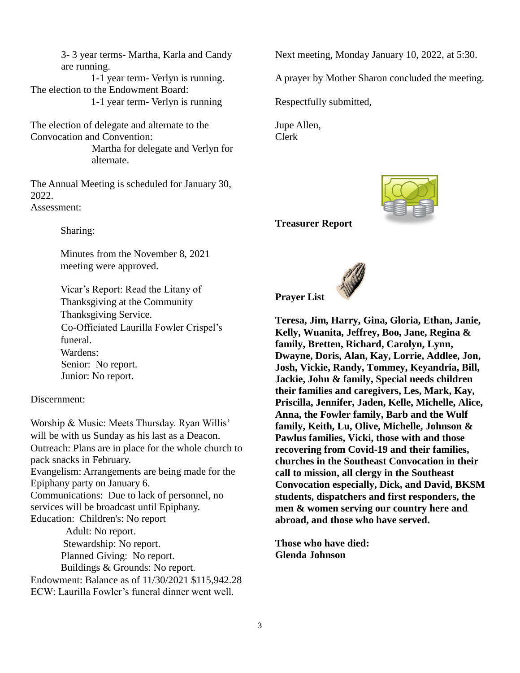3- 3 year terms- Martha, Karla and Candy are running. 1-1 year term- Verlyn is running. The election to the Endowment Board: 1-1 year term- Verlyn is running

The election of delegate and alternate to the Convocation and Convention: Martha for delegate and Verlyn for alternate.

The Annual Meeting is scheduled for January 30, 2022. Assessment:

Sharing:

Minutes from the November 8, 2021 meeting were approved.

Vicar's Report: Read the Litany of Thanksgiving at the Community Thanksgiving Service. Co-Officiated Laurilla Fowler Crispel's funeral. Wardens: Senior: No report. Junior: No report.

Discernment:

Worship & Music: Meets Thursday. Ryan Willis' will be with us Sunday as his last as a Deacon. Outreach: Plans are in place for the whole church to pack snacks in February. Evangelism: Arrangements are being made for the Epiphany party on January 6. Communications: Due to lack of personnel, no services will be broadcast until Epiphany. Education: Children's: No report Adult: No report. Stewardship: No report. Planned Giving: No report. Buildings & Grounds: No report. Endowment: Balance as of 11/30/2021 \$115,942.28

ECW: Laurilla Fowler's funeral dinner went well.

Next meeting, Monday January 10, 2022, at 5:30.

A prayer by Mother Sharon concluded the meeting.

Respectfully submitted,

Jupe Allen, Clerk



**Treasurer Report**



**Teresa, Jim, Harry, Gina, Gloria, Ethan, Janie, Kelly, Wuanita, Jeffrey, Boo, Jane, Regina & family, Bretten, Richard, Carolyn, Lynn, Dwayne, Doris, Alan, Kay, Lorrie, Addlee, Jon, Josh, Vickie, Randy, Tommey, Keyandria, Bill, Jackie, John & family, Special needs children their families and caregivers, Les, Mark, Kay, Priscilla, Jennifer, Jaden, Kelle, Michelle, Alice, Anna, the Fowler family, Barb and the Wulf family, Keith, Lu, Olive, Michelle, Johnson & Pawlus families, Vicki, those with and those recovering from Covid-19 and their families, churches in the Southeast Convocation in their call to mission, all clergy in the Southeast Convocation especially, Dick, and David, BKSM students, dispatchers and first responders, the men & women serving our country here and abroad, and those who have served.**

**Those who have died: Glenda Johnson**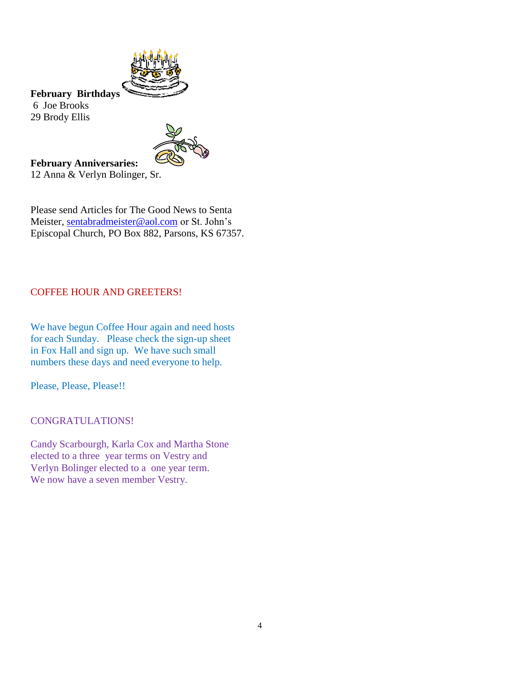

**February Birthdays** 6 Joe Brooks 29 Brody Ellis



**February Anniversaries:** 12 Anna & Verlyn Bolinger, Sr.

Please send Articles for The Good News to Senta Meister, [sentabradmeister@aol.com](mailto:sentabradmeister@aol.com) or St. John's Episcopal Church, PO Box 882, Parsons, KS 67357.

#### COFFEE HOUR AND GREETERS!

We have begun Coffee Hour again and need hosts for each Sunday. Please check the sign-up sheet in Fox Hall and sign up. We have such small numbers these days and need everyone to help.

Please, Please, Please!!

CONGRATULATIONS!

Candy Scarbourgh, Karla Cox and Martha Stone elected to a three year terms on Vestry and Verlyn Bolinger elected to a one year term. We now have a seven member Vestry.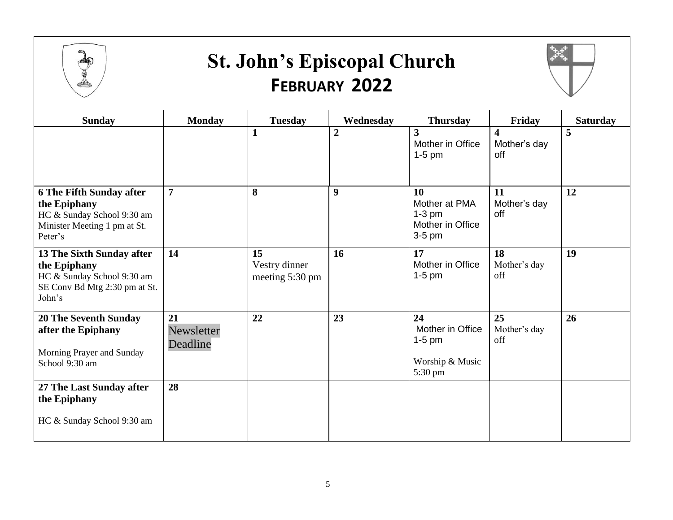

### **St. John's Episcopal Church FEBRUARY 2022**



| <b>Sunday</b>                                                                                                            | <b>Monday</b>                | <b>Tuesday</b>                         | Wednesday        | <b>Thursday</b>                                                  | Friday                                         | <b>Saturday</b> |
|--------------------------------------------------------------------------------------------------------------------------|------------------------------|----------------------------------------|------------------|------------------------------------------------------------------|------------------------------------------------|-----------------|
|                                                                                                                          |                              | $\mathbf{1}$                           | $\overline{2}$   | $\overline{\mathbf{3}}$<br>Mother in Office<br>$1-5$ pm          | $\overline{\mathbf{4}}$<br>Mother's day<br>off | 5               |
| <b>6 The Fifth Sunday after</b><br>the Epiphany<br>HC & Sunday School 9:30 am<br>Minister Meeting 1 pm at St.<br>Peter's | $\overline{7}$               | 8                                      | $\boldsymbol{9}$ | 10<br>Mother at PMA<br>$1-3$ pm<br>Mother in Office<br>$3-5$ pm  | 11<br>Mother's day<br>off                      | 12              |
| 13 The Sixth Sunday after<br>the Epiphany<br>HC & Sunday School 9:30 am<br>SE Conv Bd Mtg 2:30 pm at St.<br>John's       | 14                           | 15<br>Vestry dinner<br>meeting 5:30 pm | 16               | 17<br>Mother in Office<br>$1-5$ pm                               | 18<br>Mother's day<br>off                      | 19              |
| <b>20 The Seventh Sunday</b><br>after the Epiphany<br>Morning Prayer and Sunday<br>School 9:30 am                        | 21<br>Newsletter<br>Deadline | 22                                     | 23               | 24<br>Mother in Office<br>$1-5$ pm<br>Worship & Music<br>5:30 pm | 25<br>Mother's day<br>off                      | 26              |
| 27 The Last Sunday after<br>the Epiphany<br>HC & Sunday School 9:30 am                                                   | 28                           |                                        |                  |                                                                  |                                                |                 |